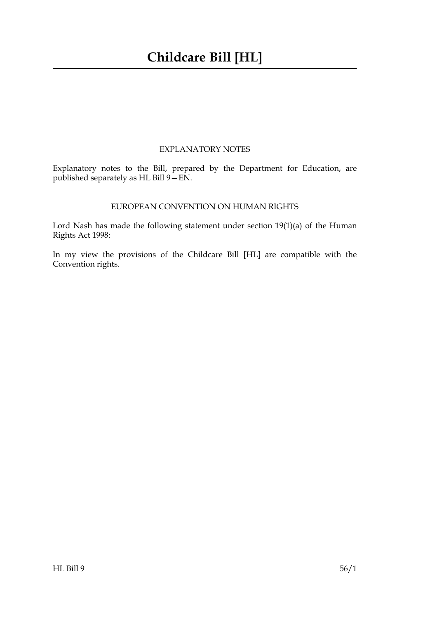### EXPLANATORY NOTES

Explanatory notes to the Bill, prepared by the Department for Education, are published separately as HL Bill 9—EN.

#### EUROPEAN CONVENTION ON HUMAN RIGHTS

Lord Nash has made the following statement under section 19(1)(a) of the Human Rights Act 1998:

In my view the provisions of the Childcare Bill [HL] are compatible with the Convention rights.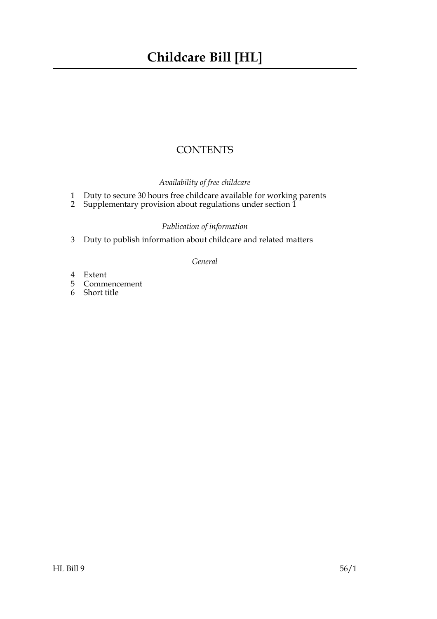## **CONTENTS**

## *Availability of free childcare*

- 1 Duty to secure 30 hours free childcare available for working parents
- 2 Supplementary provision about regulations under section 1

### *Publication of information*

3 Duty to publish information about childcare and related matters

#### *General*

- 4 Extent
- 5 Commencement
- 6 Short title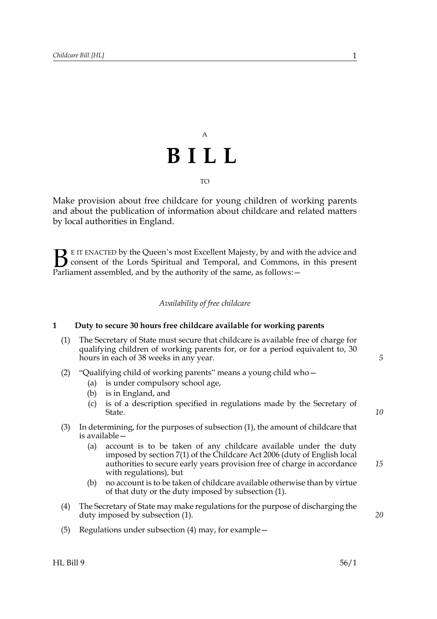## A **BILL** TO

Make provision about free childcare for young children of working parents and about the publication of information about childcare and related matters by local authorities in England.

E IT ENACTED by the Queen's most Excellent Majesty, by and with the advice and consent of the Lords Spiritual and Temporal, and Commons, in this present **B** E IT ENACTED by the Queen's most Excellent Majesty, by and with consent of the Lords Spiritual and Temporal, and Commons, Parliament assembled, and by the authority of the same, as follows:  $-$ 

#### *Availability of free childcare*

#### **1 Duty to secure 30 hours free childcare available for working parents**

- (1) The Secretary of State must secure that childcare is available free of charge for qualifying children of working parents for, or for a period equivalent to, 30 hours in each of 38 weeks in any year.
- (2) "Qualifying child of working parents" means a young child who—
	- (a) is under compulsory school age,
	- (b) is in England, and
	- (c) is of a description specified in regulations made by the Secretary of State.
- (3) In determining, for the purposes of subsection (1), the amount of childcare that is available—
	- (a) account is to be taken of any childcare available under the duty imposed by section 7(1) of the Childcare Act 2006 (duty of English local authorities to secure early years provision free of charge in accordance with regulations), but
	- (b) no account is to be taken of childcare available otherwise than by virtue of that duty or the duty imposed by subsection (1).
- (4) The Secretary of State may make regulations for the purpose of discharging the duty imposed by subsection (1).
- (5) Regulations under subsection (4) may, for example—

*5*

*10*

*15*

*20*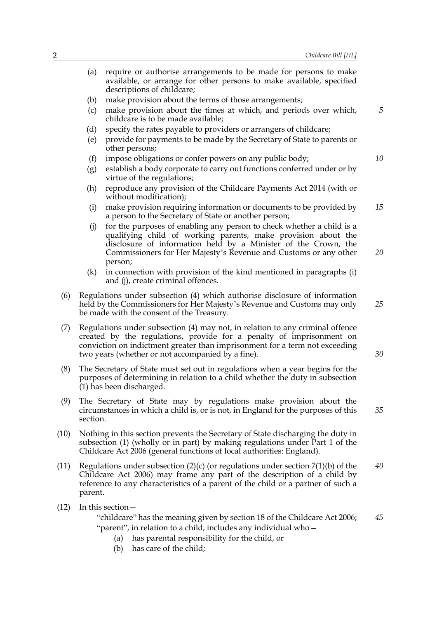- (a) require or authorise arrangements to be made for persons to make available, or arrange for other persons to make available, specified descriptions of childcare; (b) make provision about the terms of those arrangements; (c) make provision about the times at which, and periods over which, childcare is to be made available; (d) specify the rates payable to providers or arrangers of childcare; (e) provide for payments to be made by the Secretary of State to parents or other persons; (f) impose obligations or confer powers on any public body; (g) establish a body corporate to carry out functions conferred under or by virtue of the regulations; (h) reproduce any provision of the Childcare Payments Act 2014 (with or without modification); (i) make provision requiring information or documents to be provided by a person to the Secretary of State or another person; (j) for the purposes of enabling any person to check whether a child is a qualifying child of working parents, make provision about the disclosure of information held by a Minister of the Crown, the Commissioners for Her Majesty's Revenue and Customs or any other person; (k) in connection with provision of the kind mentioned in paragraphs (i) and (j), create criminal offences. (6) Regulations under subsection (4) which authorise disclosure of information held by the Commissioners for Her Majesty's Revenue and Customs may only be made with the consent of the Treasury. (7) Regulations under subsection (4) may not, in relation to any criminal offence created by the regulations, provide for a penalty of imprisonment on conviction on indictment greater than imprisonment for a term not exceeding two years (whether or not accompanied by a fine). (8) The Secretary of State must set out in regulations when a year begins for the purposes of determining in relation to a child whether the duty in subsection (1) has been discharged. (9) The Secretary of State may by regulations make provision about the circumstances in which a child is, or is not, in England for the purposes of this section. (10) Nothing in this section prevents the Secretary of State discharging the duty in subsection (1) (wholly or in part) by making regulations under Part 1 of the Childcare Act 2006 (general functions of local authorities: England). (11) Regulations under subsection  $(2)(c)$  (or regulations under section  $7(1)(b)$  of the Childcare Act 2006) may frame any part of the description of a child by reference to any characteristics of a parent of the child or a partner of such a parent. *5 10 15 20 25 30 35 40*
- (12) In this section—

"childcare" has the meaning given by section 18 of the Childcare Act 2006; "parent", in relation to a child, includes any individual who— *45*

- (a) has parental responsibility for the child, or
- (b) has care of the child;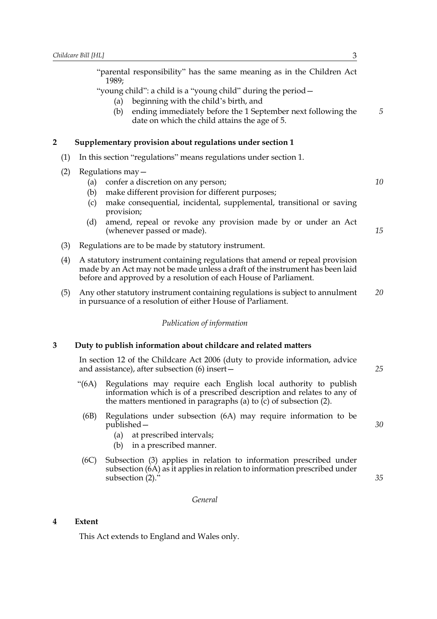| Childcare Bill [HL]<br>3 |                                                                                                                                  |                                                                                                                                                                                                                                   |    |
|--------------------------|----------------------------------------------------------------------------------------------------------------------------------|-----------------------------------------------------------------------------------------------------------------------------------------------------------------------------------------------------------------------------------|----|
|                          | "parental responsibility" has the same meaning as in the Children Act<br>1989;                                                   |                                                                                                                                                                                                                                   |    |
|                          |                                                                                                                                  | "young child": a child is a "young child" during the period –<br>beginning with the child's birth, and<br>(a)                                                                                                                     |    |
|                          |                                                                                                                                  | ending immediately before the 1 September next following the<br>(b)<br>date on which the child attains the age of 5.                                                                                                              | 5  |
| 2                        |                                                                                                                                  | Supplementary provision about regulations under section 1                                                                                                                                                                         |    |
| (1)                      |                                                                                                                                  | In this section "regulations" means regulations under section 1.                                                                                                                                                                  |    |
| (2)                      | Regulations $may -$                                                                                                              |                                                                                                                                                                                                                                   |    |
|                          | (a)                                                                                                                              | confer a discretion on any person;                                                                                                                                                                                                | 10 |
|                          | (b)                                                                                                                              | make different provision for different purposes;                                                                                                                                                                                  |    |
|                          | (c)                                                                                                                              | make consequential, incidental, supplemental, transitional or saving<br>provision;                                                                                                                                                |    |
|                          | (d)                                                                                                                              | amend, repeal or revoke any provision made by or under an Act<br>(whenever passed or made).                                                                                                                                       | 15 |
| (3)                      |                                                                                                                                  | Regulations are to be made by statutory instrument.                                                                                                                                                                               |    |
| (4)                      |                                                                                                                                  | A statutory instrument containing regulations that amend or repeal provision<br>made by an Act may not be made unless a draft of the instrument has been laid<br>before and approved by a resolution of each House of Parliament. |    |
| (5)                      |                                                                                                                                  | Any other statutory instrument containing regulations is subject to annulment<br>in pursuance of a resolution of either House of Parliament.                                                                                      | 20 |
|                          |                                                                                                                                  | Publication of information                                                                                                                                                                                                        |    |
| 3                        |                                                                                                                                  | Duty to publish information about childcare and related matters                                                                                                                                                                   |    |
|                          | In section 12 of the Childcare Act 2006 (duty to provide information, advice<br>and assistance), after subsection $(6)$ insert – |                                                                                                                                                                                                                                   |    |
|                          | " $(6A)$                                                                                                                         | Regulations may require each English local authority to publish<br>information which is of a prescribed description and relates to any of<br>the matters mentioned in paragraphs (a) to $(c)$ of subsection $(2)$ .               |    |
|                          | (6B)                                                                                                                             | Regulations under subsection (6A) may require information to be<br>published –<br>at prescribed intervals;<br>(a)<br>in a prescribed manner.<br>(b)                                                                               | 30 |
|                          | (6C)                                                                                                                             | Subsection (3) applies in relation to information prescribed under<br>subsection (6A) as it applies in relation to information prescribed under<br>subsection $(2)$ ."                                                            | 35 |

*General*

## **4 Extent**

This Act extends to England and Wales only.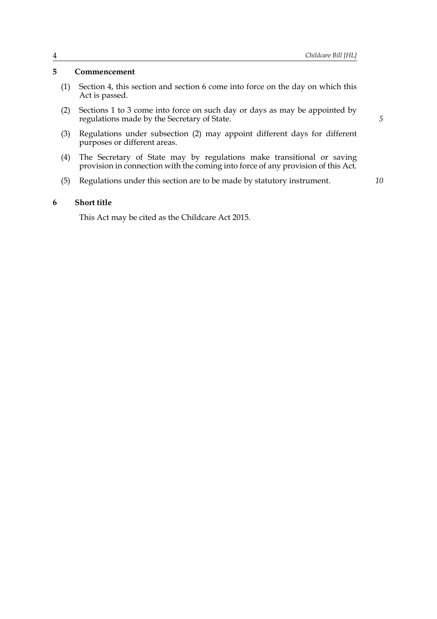#### **5 Commencement**

- (1) Section 4, this section and section 6 come into force on the day on which this Act is passed.
- (2) Sections 1 to 3 come into force on such day or days as may be appointed by regulations made by the Secretary of State.
- (3) Regulations under subsection (2) may appoint different days for different purposes or different areas.
- (4) The Secretary of State may by regulations make transitional or saving provision in connection with the coming into force of any provision of this Act.
- (5) Regulations under this section are to be made by statutory instrument.

*10*

*5*

#### **6 Short title**

This Act may be cited as the Childcare Act 2015.